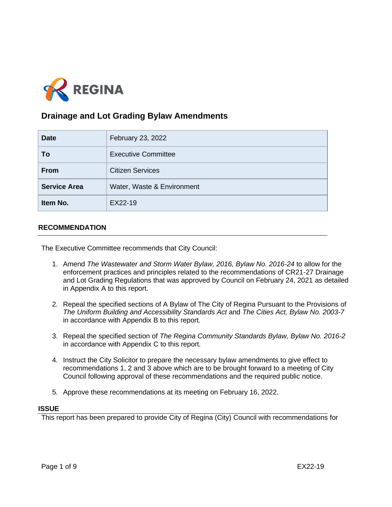

# **Drainage and Lot Grading Bylaw Amendments**

| <b>Date</b>         | February 23, 2022          |
|---------------------|----------------------------|
| To                  | <b>Executive Committee</b> |
| <b>From</b>         | <b>Citizen Services</b>    |
| <b>Service Area</b> | Water, Waste & Environment |
| Item No.            | EX22-19                    |

### **RECOMMENDATION**

The Executive Committee recommends that City Council:

- 1. Amend *The Wastewater and Storm Water Bylaw, 2016, Bylaw No. 2016-24* to allow for the enforcement practices and principles related to the recommendations of CR21-27 Drainage and Lot Grading Regulations that was approved by Council on February 24, 2021 as detailed in Appendix A to this report.
- 2. Repeal the specified sections of A Bylaw of The City of Regina Pursuant to the Provisions of *The Uniform Building and Accessibility Standards Act* and *The Cities Act, Bylaw No. 2003-7* in accordance with Appendix B to this report*.*
- 3. Repeal the specified section of *The Regina Community Standards Bylaw, Bylaw No. 2016-2*  in accordance with Appendix C to this report*.*
- 4. Instruct the City Solicitor to prepare the necessary bylaw amendments to give effect to recommendations 1, 2 and 3 above which are to be brought forward to a meeting of City Council following approval of these recommendations and the required public notice.
- 5. Approve these recommendations at its meeting on February 16, 2022.

### **ISSUE**

This report has been prepared to provide City of Regina (City) Council with recommendations for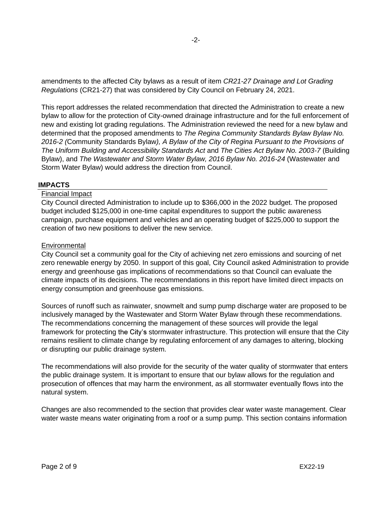amendments to the affected City bylaws as a result of item *CR21-27 Drainage and Lot Grading Regulations* (CR21-27) that was considered by City Council on February 24, 2021.

This report addresses the related recommendation that directed the Administration to create a new bylaw to allow for the protection of City-owned drainage infrastructure and for the full enforcement of new and existing lot grading regulations. The Administration reviewed the need for a new bylaw and determined that the proposed amendments to *The Regina Community Standards Bylaw Bylaw No. 2016-2 (*Community Standards Bylaw*), A Bylaw of the City of Regina Pursuant to the Provisions of The Uniform Building and Accessibility Standards Act* and *The Cities Act Bylaw No. 2003-7* (Building Bylaw), and *The Wastewater and Storm Water Bylaw, 2016 Bylaw No. 2016-24* (Wastewater and Storm Water Bylaw) would address the direction from Council.

### **IMPACTS**

### Financial Impact

City Council directed Administration to include up to \$366,000 in the 2022 budget. The proposed budget included \$125,000 in one-time capital expenditures to support the public awareness campaign, purchase equipment and vehicles and an operating budget of \$225,000 to support the creation of two new positions to deliver the new service.

### **Environmental**

City Council set a community goal for the City of achieving net zero emissions and sourcing of net zero renewable energy by 2050. In support of this goal, City Council asked Administration to provide energy and greenhouse gas implications of recommendations so that Council can evaluate the climate impacts of its decisions. The recommendations in this report have limited direct impacts on energy consumption and greenhouse gas emissions.

Sources of runoff such as rainwater, snowmelt and sump pump discharge water are proposed to be inclusively managed by the Wastewater and Storm Water Bylaw through these recommendations. The recommendations concerning the management of these sources will provide the legal framework for protecting the City's stormwater infrastructure. This protection will ensure that the City remains resilient to climate change by regulating enforcement of any damages to altering, blocking or disrupting our public drainage system.

The recommendations will also provide for the security of the water quality of stormwater that enters the public drainage system. It is important to ensure that our bylaw allows for the regulation and prosecution of offences that may harm the environment, as all stormwater eventually flows into the natural system.

Changes are also recommended to the section that provides clear water waste management. Clear water waste means water originating from a roof or a sump pump. This section contains information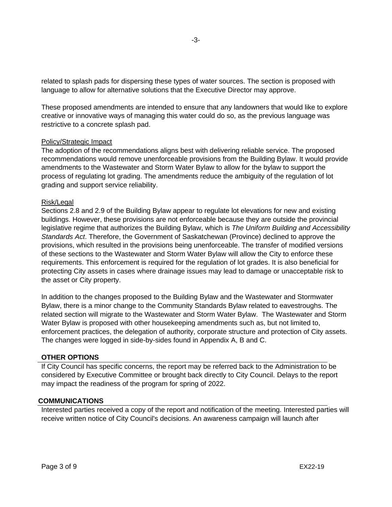related to splash pads for dispersing these types of water sources. The section is proposed with language to allow for alternative solutions that the Executive Director may approve.

These proposed amendments are intended to ensure that any landowners that would like to explore creative or innovative ways of managing this water could do so, as the previous language was restrictive to a concrete splash pad.

### Policy/Strategic Impact

The adoption of the recommendations aligns best with delivering reliable service. The proposed recommendations would remove unenforceable provisions from the Building Bylaw. It would provide amendments to the Wastewater and Storm Water Bylaw to allow for the bylaw to support the process of regulating lot grading. The amendments reduce the ambiguity of the regulation of lot grading and support service reliability.

#### Risk/Legal

Sections 2.8 and 2.9 of the Building Bylaw appear to regulate lot elevations for new and existing buildings. However, these provisions are not enforceable because they are outside the provincial legislative regime that authorizes the Building Bylaw, which is *The Uniform Building and Accessibility Standards Act*. Therefore, the Government of Saskatchewan (Province) declined to approve the provisions, which resulted in the provisions being unenforceable. The transfer of modified versions of these sections to the Wastewater and Storm Water Bylaw will allow the City to enforce these requirements. This enforcement is required for the regulation of lot grades. It is also beneficial for protecting City assets in cases where drainage issues may lead to damage or unacceptable risk to the asset or City property.

In addition to the changes proposed to the Building Bylaw and the Wastewater and Stormwater Bylaw, there is a minor change to the Community Standards Bylaw related to eavestroughs. The related section will migrate to the Wastewater and Storm Water Bylaw. The Wastewater and Storm Water Bylaw is proposed with other housekeeping amendments such as, but not limited to, enforcement practices, the delegation of authority, corporate structure and protection of City assets. The changes were logged in side-by-sides found in Appendix A, B and C.

### **OTHER OPTIONS**

If City Council has specific concerns, the report may be referred back to the Administration to be considered by Executive Committee or brought back directly to City Council. Delays to the report may impact the readiness of the program for spring of 2022.

#### **COMMUNICATIONS**

Interested parties received a copy of the report and notification of the meeting. Interested parties will receive written notice of City Council's decisions. An awareness campaign will launch after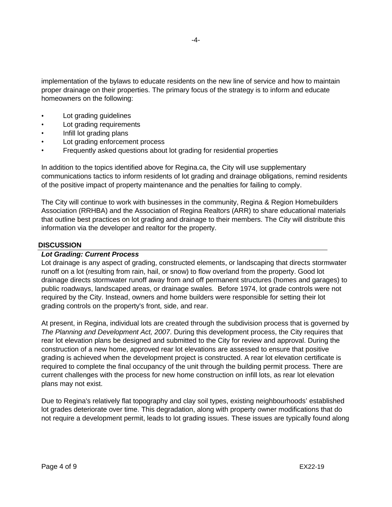implementation of the bylaws to educate residents on the new line of service and how to maintain proper drainage on their properties. The primary focus of the strategy is to inform and educate homeowners on the following:

- Lot grading guidelines
- Lot grading requirements
- Infill lot grading plans
- Lot grading enforcement process
- Frequently asked questions about lot grading for residential properties

In addition to the topics identified above for Regina.ca, the City will use supplementary communications tactics to inform residents of lot grading and drainage obligations, remind residents of the positive impact of property maintenance and the penalties for failing to comply.

The City will continue to work with businesses in the community, Regina & Region Homebuilders Association (RRHBA) and the Association of Regina Realtors (ARR) to share educational materials that outline best practices on lot grading and drainage to their members. The City will distribute this information via the developer and realtor for the property.

### **DISCUSSION**

### *Lot Grading: Current Process*

Lot drainage is any aspect of grading, constructed elements, or landscaping that directs stormwater runoff on a lot (resulting from rain, hail, or snow) to flow overland from the property. Good lot drainage directs stormwater runoff away from and off permanent structures (homes and garages) to public roadways, landscaped areas, or drainage swales. Before 1974, lot grade controls were not required by the City. Instead, owners and home builders were responsible for setting their lot grading controls on the property's front, side, and rear.

At present, in Regina, individual lots are created through the subdivision process that is governed by *The Planning and Development Act, 2007*. During this development process, the City requires that rear lot elevation plans be designed and submitted to the City for review and approval. During the construction of a new home, approved rear lot elevations are assessed to ensure that positive grading is achieved when the development project is constructed. A rear lot elevation certificate is required to complete the final occupancy of the unit through the building permit process. There are current challenges with the process for new home construction on infill lots, as rear lot elevation plans may not exist.

Due to Regina's relatively flat topography and clay soil types, existing neighbourhoods' established lot grades deteriorate over time. This degradation, along with property owner modifications that do not require a development permit, leads to lot grading issues. These issues are typically found along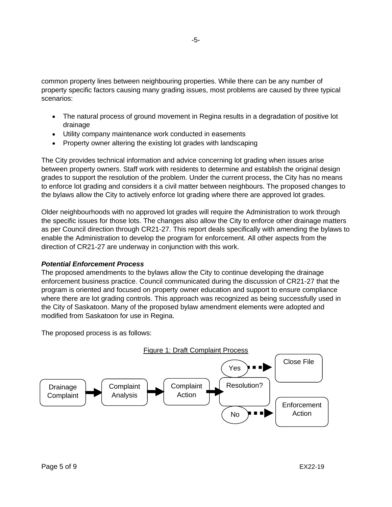common property lines between neighbouring properties. While there can be any number of property specific factors causing many grading issues, most problems are caused by three typical scenarios:

- The natural process of ground movement in Regina results in a degradation of positive lot drainage
- Utility company maintenance work conducted in easements
- Property owner altering the existing lot grades with landscaping

The City provides technical information and advice concerning lot grading when issues arise between property owners. Staff work with residents to determine and establish the original design grades to support the resolution of the problem. Under the current process, the City has no means to enforce lot grading and considers it a civil matter between neighbours. The proposed changes to the bylaws allow the City to actively enforce lot grading where there are approved lot grades.

Older neighbourhoods with no approved lot grades will require the Administration to work through the specific issues for those lots. The changes also allow the City to enforce other drainage matters as per Council direction through CR21-27. This report deals specifically with amending the bylaws to enable the Administration to develop the program for enforcement. All other aspects from the direction of CR21-27 are underway in conjunction with this work.

### *Potential Enforcement Process*

The proposed amendments to the bylaws allow the City to continue developing the drainage enforcement business practice. Council communicated during the discussion of CR21-27 that the program is oriented and focused on property owner education and support to ensure compliance where there are lot grading controls. This approach was recognized as being successfully used in the City of Saskatoon. Many of the proposed bylaw amendment elements were adopted and modified from Saskatoon for use in Regina.

The proposed process is as follows:

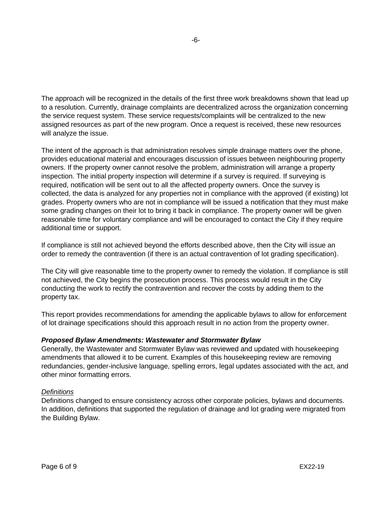The approach will be recognized in the details of the first three work breakdowns shown that lead up to a resolution. Currently, drainage complaints are decentralized across the organization concerning the service request system. These service requests/complaints will be centralized to the new assigned resources as part of the new program. Once a request is received, these new resources will analyze the issue.

The intent of the approach is that administration resolves simple drainage matters over the phone, provides educational material and encourages discussion of issues between neighbouring property owners. If the property owner cannot resolve the problem, administration will arrange a property inspection. The initial property inspection will determine if a survey is required. If surveying is required, notification will be sent out to all the affected property owners. Once the survey is collected, the data is analyzed for any properties not in compliance with the approved (if existing) lot grades. Property owners who are not in compliance will be issued a notification that they must make some grading changes on their lot to bring it back in compliance. The property owner will be given reasonable time for voluntary compliance and will be encouraged to contact the City if they require additional time or support.

If compliance is still not achieved beyond the efforts described above, then the City will issue an order to remedy the contravention (if there is an actual contravention of lot grading specification).

The City will give reasonable time to the property owner to remedy the violation. If compliance is still not achieved, the City begins the prosecution process. This process would result in the City conducting the work to rectify the contravention and recover the costs by adding them to the property tax.

This report provides recommendations for amending the applicable bylaws to allow for enforcement of lot drainage specifications should this approach result in no action from the property owner.

### *Proposed Bylaw Amendments: Wastewater and Stormwater Bylaw*

Generally, the Wastewater and Stormwater Bylaw was reviewed and updated with housekeeping amendments that allowed it to be current. Examples of this housekeeping review are removing redundancies, gender-inclusive language, spelling errors, legal updates associated with the act, and other minor formatting errors.

### *Definitions*

Definitions changed to ensure consistency across other corporate policies, bylaws and documents. In addition, definitions that supported the regulation of drainage and lot grading were migrated from the Building Bylaw.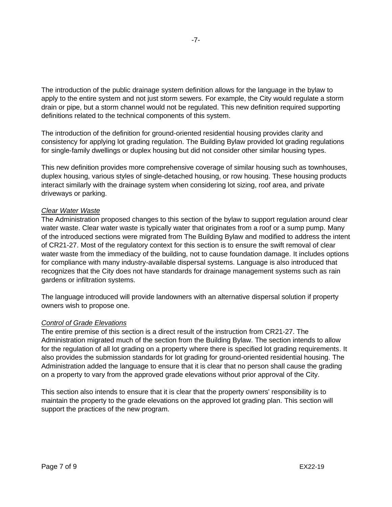The introduction of the public drainage system definition allows for the language in the bylaw to apply to the entire system and not just storm sewers. For example, the City would regulate a storm drain or pipe, but a storm channel would not be regulated. This new definition required supporting definitions related to the technical components of this system.

The introduction of the definition for ground-oriented residential housing provides clarity and consistency for applying lot grading regulation. The Building Bylaw provided lot grading regulations for single-family dwellings or duplex housing but did not consider other similar housing types.

This new definition provides more comprehensive coverage of similar housing such as townhouses, duplex housing, various styles of single-detached housing, or row housing. These housing products interact similarly with the drainage system when considering lot sizing, roof area, and private driveways or parking.

### *Clear Water Waste*

The Administration proposed changes to this section of the bylaw to support regulation around clear water waste. Clear water waste is typically water that originates from a roof or a sump pump. Many of the introduced sections were migrated from The Building Bylaw and modified to address the intent of CR21-27. Most of the regulatory context for this section is to ensure the swift removal of clear water waste from the immediacy of the building, not to cause foundation damage. It includes options for compliance with many industry-available dispersal systems. Language is also introduced that recognizes that the City does not have standards for drainage management systems such as rain gardens or infiltration systems.

The language introduced will provide landowners with an alternative dispersal solution if property owners wish to propose one.

### *Control of Grade Elevations*

The entire premise of this section is a direct result of the instruction from CR21-27. The Administration migrated much of the section from the Building Bylaw. The section intends to allow for the regulation of all lot grading on a property where there is specified lot grading requirements. It also provides the submission standards for lot grading for ground-oriented residential housing. The Administration added the language to ensure that it is clear that no person shall cause the grading on a property to vary from the approved grade elevations without prior approval of the City.

This section also intends to ensure that it is clear that the property owners' responsibility is to maintain the property to the grade elevations on the approved lot grading plan. This section will support the practices of the new program.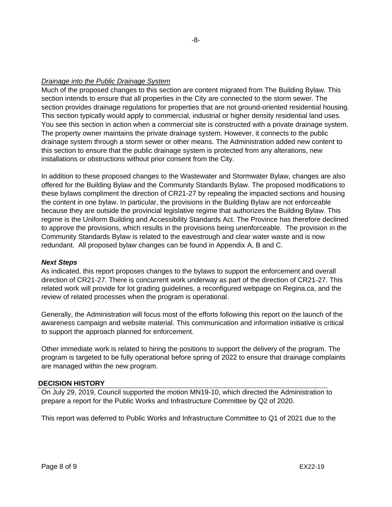### *Drainage into the Public Drainage System*

Much of the proposed changes to this section are content migrated from The Building Bylaw. This section intends to ensure that all properties in the City are connected to the storm sewer. The section provides drainage regulations for properties that are not ground-oriented residential housing. This section typically would apply to commercial, industrial or higher density residential land uses. You see this section in action when a commercial site is constructed with a private drainage system. The property owner maintains the private drainage system. However, it connects to the public drainage system through a storm sewer or other means. The Administration added new content to this section to ensure that the public drainage system is protected from any alterations, new installations or obstructions without prior consent from the City.

In addition to these proposed changes to the Wastewater and Stormwater Bylaw, changes are also offered for the Building Bylaw and the Community Standards Bylaw. The proposed modifications to these bylaws compliment the direction of CR21-27 by repealing the impacted sections and housing the content in one bylaw. In particular, the provisions in the Building Bylaw are not enforceable because they are outside the provincial legislative regime that authorizes the Building Bylaw. This regime is the Uniform Building and Accessibility Standards Act. The Province has therefore declined to approve the provisions, which results in the provisions being unenforceable. The provision in the Community Standards Bylaw is related to the eavestrough and clear water waste and is now redundant. All proposed bylaw changes can be found in Appendix A, B and C.

### *Next Steps*

As indicated, this report proposes changes to the bylaws to support the enforcement and overall direction of CR21-27. There is concurrent work underway as part of the direction of CR21-27. This related work will provide for lot grading guidelines, a reconfigured webpage on Regina.ca, and the review of related processes when the program is operational.

Generally, the Administration will focus most of the efforts following this report on the launch of the awareness campaign and website material. This communication and information initiative is critical to support the approach planned for enforcement.

Other immediate work is related to hiring the positions to support the delivery of the program. The program is targeted to be fully operational before spring of 2022 to ensure that drainage complaints are managed within the new program.

### **DECISION HISTORY**

On July 29, 2019, Council supported the motion MN19-10, which directed the Administration to prepare a report for the Public Works and Infrastructure Committee by Q2 of 2020.

This report was deferred to Public Works and Infrastructure Committee to Q1 of 2021 due to the